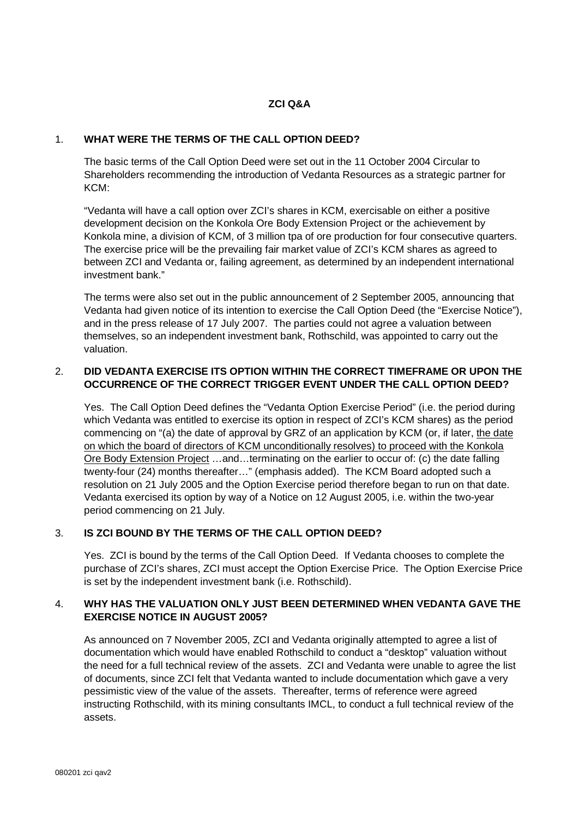## **ZCI Q&A**

#### 1. **WHAT WERE THE TERMS OF THE CALL OPTION DEED?**

The basic terms of the Call Option Deed were set out in the 11 October 2004 Circular to Shareholders recommending the introduction of Vedanta Resources as a strategic partner for KCM:

"Vedanta will have a call option over ZCI's shares in KCM, exercisable on either a positive development decision on the Konkola Ore Body Extension Project or the achievement by Konkola mine, a division of KCM, of 3 million tpa of ore production for four consecutive quarters. The exercise price will be the prevailing fair market value of ZCI's KCM shares as agreed to between ZCI and Vedanta or, failing agreement, as determined by an independent international investment bank."

The terms were also set out in the public announcement of 2 September 2005, announcing that Vedanta had given notice of its intention to exercise the Call Option Deed (the "Exercise Notice"), and in the press release of 17 July 2007. The parties could not agree a valuation between themselves, so an independent investment bank, Rothschild, was appointed to carry out the valuation.

# 2. **DID VEDANTA EXERCISE ITS OPTION WITHIN THE CORRECT TIMEFRAME OR UPON THE OCCURRENCE OF THE CORRECT TRIGGER EVENT UNDER THE CALL OPTION DEED?**

Yes. The Call Option Deed defines the "Vedanta Option Exercise Period" (i.e. the period during which Vedanta was entitled to exercise its option in respect of ZCI's KCM shares) as the period commencing on "(a) the date of approval by GRZ of an application by KCM (or, if later, the date on which the board of directors of KCM unconditionally resolves) to proceed with the Konkola Ore Body Extension Project …and…terminating on the earlier to occur of: (c) the date falling twenty-four (24) months thereafter…" (emphasis added). The KCM Board adopted such a resolution on 21 July 2005 and the Option Exercise period therefore began to run on that date. Vedanta exercised its option by way of a Notice on 12 August 2005, i.e. within the two-year period commencing on 21 July.

# 3. **IS ZCI BOUND BY THE TERMS OF THE CALL OPTION DEED?**

Yes. ZCI is bound by the terms of the Call Option Deed. If Vedanta chooses to complete the purchase of ZCI's shares, ZCI must accept the Option Exercise Price. The Option Exercise Price is set by the independent investment bank (i.e. Rothschild).

# 4. **WHY HAS THE VALUATION ONLY JUST BEEN DETERMINED WHEN VEDANTA GAVE THE EXERCISE NOTICE IN AUGUST 2005?**

As announced on 7 November 2005, ZCI and Vedanta originally attempted to agree a list of documentation which would have enabled Rothschild to conduct a "desktop" valuation without the need for a full technical review of the assets. ZCI and Vedanta were unable to agree the list of documents, since ZCI felt that Vedanta wanted to include documentation which gave a very pessimistic view of the value of the assets. Thereafter, terms of reference were agreed instructing Rothschild, with its mining consultants IMCL, to conduct a full technical review of the assets.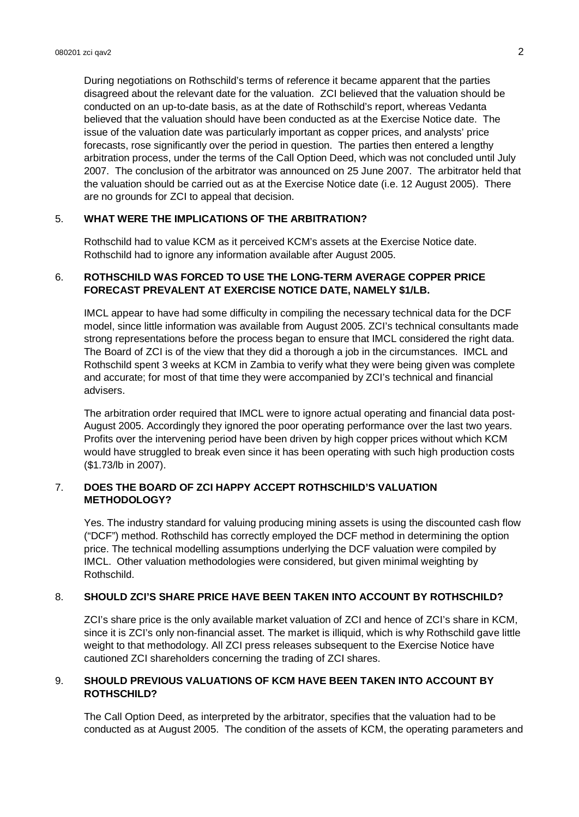During negotiations on Rothschild's terms of reference it became apparent that the parties disagreed about the relevant date for the valuation. ZCI believed that the valuation should be conducted on an up-to-date basis, as at the date of Rothschild's report, whereas Vedanta believed that the valuation should have been conducted as at the Exercise Notice date. The issue of the valuation date was particularly important as copper prices, and analysts' price forecasts, rose significantly over the period in question. The parties then entered a lengthy arbitration process, under the terms of the Call Option Deed, which was not concluded until July 2007. The conclusion of the arbitrator was announced on 25 June 2007. The arbitrator held that the valuation should be carried out as at the Exercise Notice date (i.e. 12 August 2005). There are no grounds for ZCI to appeal that decision.

#### 5. **WHAT WERE THE IMPLICATIONS OF THE ARBITRATION?**

Rothschild had to value KCM as it perceived KCM's assets at the Exercise Notice date. Rothschild had to ignore any information available after August 2005.

#### 6. **ROTHSCHILD WAS FORCED TO USE THE LONG-TERM AVERAGE COPPER PRICE FORECAST PREVALENT AT EXERCISE NOTICE DATE, NAMELY \$1/LB.**

IMCL appear to have had some difficulty in compiling the necessary technical data for the DCF model, since little information was available from August 2005. ZCI's technical consultants made strong representations before the process began to ensure that IMCL considered the right data. The Board of ZCI is of the view that they did a thorough a job in the circumstances. IMCL and Rothschild spent 3 weeks at KCM in Zambia to verify what they were being given was complete and accurate; for most of that time they were accompanied by ZCI's technical and financial advisers.

The arbitration order required that IMCL were to ignore actual operating and financial data post-August 2005. Accordingly they ignored the poor operating performance over the last two years. Profits over the intervening period have been driven by high copper prices without which KCM would have struggled to break even since it has been operating with such high production costs (\$1.73/lb in 2007).

### 7. **DOES THE BOARD OF ZCI HAPPY ACCEPT ROTHSCHILD'S VALUATION METHODOLOGY?**

Yes. The industry standard for valuing producing mining assets is using the discounted cash flow ("DCF") method. Rothschild has correctly employed the DCF method in determining the option price. The technical modelling assumptions underlying the DCF valuation were compiled by IMCL. Other valuation methodologies were considered, but given minimal weighting by Rothschild.

### 8. **SHOULD ZCI'S SHARE PRICE HAVE BEEN TAKEN INTO ACCOUNT BY ROTHSCHILD?**

ZCI's share price is the only available market valuation of ZCI and hence of ZCI's share in KCM, since it is ZCI's only non-financial asset. The market is illiquid, which is why Rothschild gave little weight to that methodology. All ZCI press releases subsequent to the Exercise Notice have cautioned ZCI shareholders concerning the trading of ZCI shares.

## 9. **SHOULD PREVIOUS VALUATIONS OF KCM HAVE BEEN TAKEN INTO ACCOUNT BY ROTHSCHILD?**

The Call Option Deed, as interpreted by the arbitrator, specifies that the valuation had to be conducted as at August 2005. The condition of the assets of KCM, the operating parameters and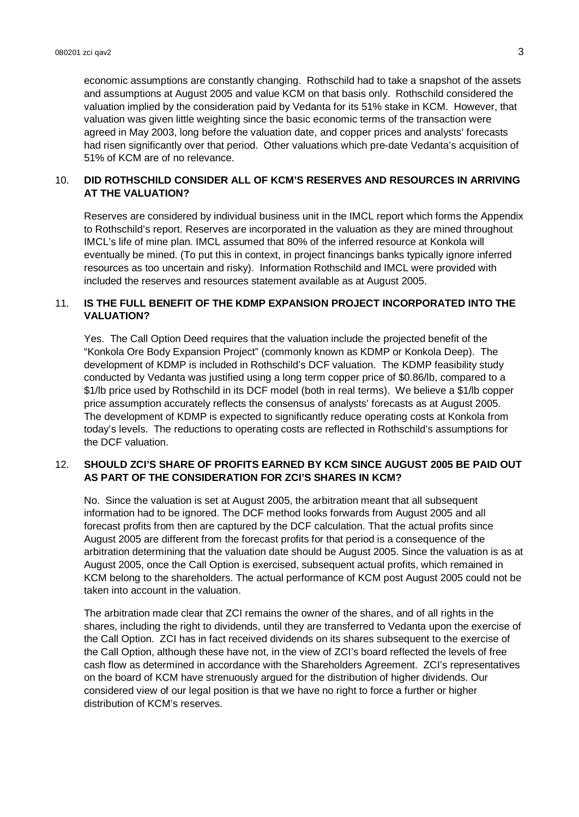economic assumptions are constantly changing. Rothschild had to take a snapshot of the assets and assumptions at August 2005 and value KCM on that basis only. Rothschild considered the valuation implied by the consideration paid by Vedanta for its 51% stake in KCM. However, that valuation was given little weighting since the basic economic terms of the transaction were agreed in May 2003, long before the valuation date, and copper prices and analysts' forecasts had risen significantly over that period. Other valuations which pre-date Vedanta's acquisition of 51% of KCM are of no relevance.

# 10. **DID ROTHSCHILD CONSIDER ALL OF KCM'S RESERVES AND RESOURCES IN ARRIVING AT THE VALUATION?**

Reserves are considered by individual business unit in the IMCL report which forms the Appendix to Rothschild's report. Reserves are incorporated in the valuation as they are mined throughout IMCL's life of mine plan. IMCL assumed that 80% of the inferred resource at Konkola will eventually be mined. (To put this in context, in project financings banks typically ignore inferred resources as too uncertain and risky). Information Rothschild and IMCL were provided with included the reserves and resources statement available as at August 2005.

## 11. **IS THE FULL BENEFIT OF THE KDMP EXPANSION PROJECT INCORPORATED INTO THE VALUATION?**

Yes. The Call Option Deed requires that the valuation include the projected benefit of the "Konkola Ore Body Expansion Project" (commonly known as KDMP or Konkola Deep). The development of KDMP is included in Rothschild's DCF valuation. The KDMP feasibility study conducted by Vedanta was justified using a long term copper price of \$0.86/lb, compared to a \$1/lb price used by Rothschild in its DCF model (both in real terms). We believe a \$1/lb copper price assumption accurately reflects the consensus of analysts' forecasts as at August 2005. The development of KDMP is expected to significantly reduce operating costs at Konkola from today's levels. The reductions to operating costs are reflected in Rothschild's assumptions for the DCF valuation.

### 12. **SHOULD ZCI'S SHARE OF PROFITS EARNED BY KCM SINCE AUGUST 2005 BE PAID OUT AS PART OF THE CONSIDERATION FOR ZCI'S SHARES IN KCM?**

No. Since the valuation is set at August 2005, the arbitration meant that all subsequent information had to be ignored. The DCF method looks forwards from August 2005 and all forecast profits from then are captured by the DCF calculation. That the actual profits since August 2005 are different from the forecast profits for that period is a consequence of the arbitration determining that the valuation date should be August 2005. Since the valuation is as at August 2005, once the Call Option is exercised, subsequent actual profits, which remained in KCM belong to the shareholders. The actual performance of KCM post August 2005 could not be taken into account in the valuation.

The arbitration made clear that ZCI remains the owner of the shares, and of all rights in the shares, including the right to dividends, until they are transferred to Vedanta upon the exercise of the Call Option. ZCI has in fact received dividends on its shares subsequent to the exercise of the Call Option, although these have not, in the view of ZCI's board reflected the levels of free cash flow as determined in accordance with the Shareholders Agreement. ZCI's representatives on the board of KCM have strenuously argued for the distribution of higher dividends. Our considered view of our legal position is that we have no right to force a further or higher distribution of KCM's reserves.